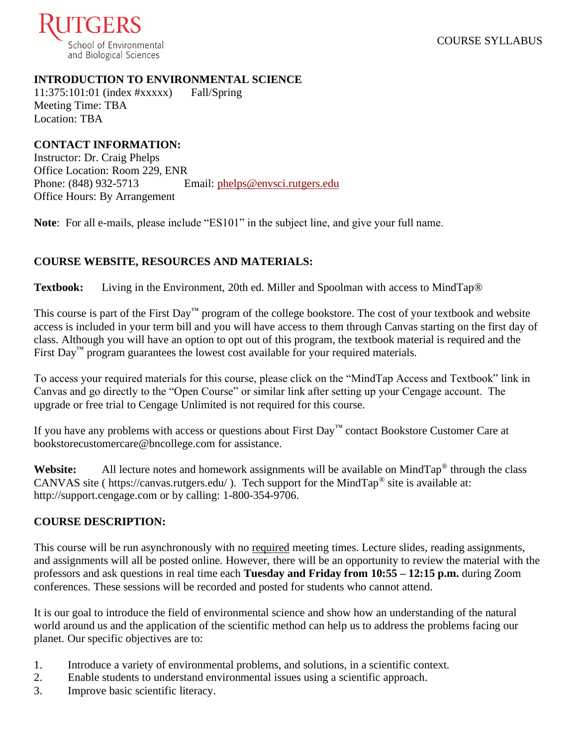

### **INTRODUCTION TO ENVIRONMENTAL SCIENCE**

11:375:101:01 (index #xxxxx) Fall/Spring Meeting Time: TBA Location: TBA

## **CONTACT INFORMATION:**

Instructor: Dr. Craig Phelps Office Location: Room 229, ENR Phone: (848) 932-5713 Email: [phelps@envsci.rutgers.edu](mailto:phelps@envsci.rutgers.edu) Office Hours: By Arrangement

**Note**: For all e-mails, please include "ES101" in the subject line, and give your full name.

## **COURSE WEBSITE, RESOURCES AND MATERIALS:**

**Textbook:** Living in the Environment, 20th ed. Miller and Spoolman with access to MindTap®

This course is part of the First Day™ program of the college bookstore. The cost of your textbook and website access is included in your term bill and you will have access to them through Canvas starting on the first day of class. Although you will have an option to opt out of this program, the textbook material is required and the First Day<sup>™</sup> program guarantees the lowest cost available for your required materials.

To access your required materials for this course, please click on the "MindTap Access and Textbook" link in Canvas and go directly to the "Open Course" or similar link after setting up your Cengage account. The upgrade or free trial to Cengage Unlimited is not required for this course.

If you have any problems with access or questions about First Day™ contact Bookstore Customer Care at bookstorecustomercare@bncollege.com for assistance.

Website: All lecture notes and homework assignments will be available on MindTap<sup>®</sup> through the class CANVAS site ( https://canvas.rutgers.edu/ ). Tech support for the MindTap<sup>®</sup> site is available at: http://support.cengage.com or by calling: 1-800-354-9706.

## **COURSE DESCRIPTION:**

This course will be run asynchronously with no required meeting times. Lecture slides, reading assignments, and assignments will all be posted online. However, there will be an opportunity to review the material with the professors and ask questions in real time each **Tuesday and Friday from 10:55 – 12:15 p.m.** during Zoom conferences. These sessions will be recorded and posted for students who cannot attend.

It is our goal to introduce the field of environmental science and show how an understanding of the natural world around us and the application of the scientific method can help us to address the problems facing our planet. Our specific objectives are to:

- 1. Introduce a variety of environmental problems, and solutions, in a scientific context.
- 2. Enable students to understand environmental issues using a scientific approach.
- 3. Improve basic scientific literacy.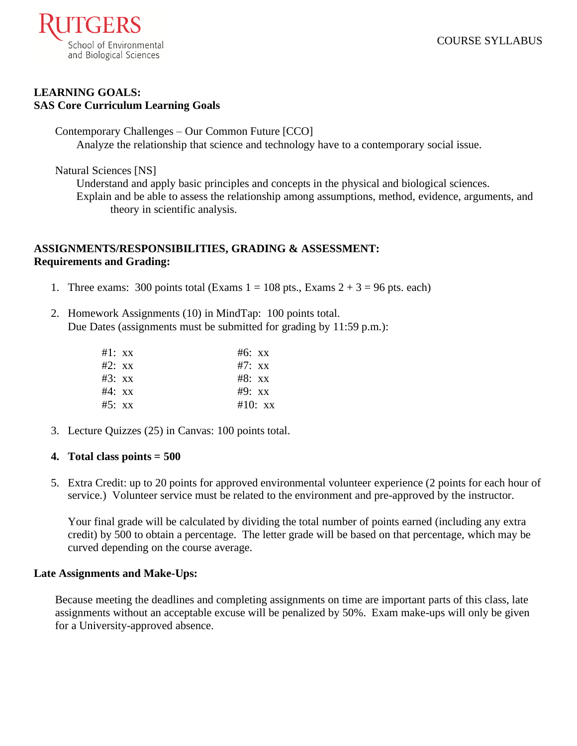

### **LEARNING GOALS: SAS Core Curriculum Learning Goals**

Contemporary Challenges – Our Common Future [CCO] Analyze the relationship that science and technology have to a contemporary social issue.

Natural Sciences [NS]

Understand and apply basic principles and concepts in the physical and biological sciences. Explain and be able to assess the relationship among assumptions, method, evidence, arguments, and theory in scientific analysis.

## **ASSIGNMENTS/RESPONSIBILITIES, GRADING & ASSESSMENT: Requirements and Grading:**

- 1. Three exams: 300 points total (Exams  $1 = 108$  pts., Exams  $2 + 3 = 96$  pts. each)
- 2. Homework Assignments (10) in MindTap: 100 points total. Due Dates (assignments must be submitted for grading by 11:59 p.m.):

| #1: xx | $#6:$ xx  |
|--------|-----------|
| #2: xx | $#7:$ xx  |
| #3: xx | $#8:$ xx  |
| #4: xx | $#9:$ XX  |
| #5: xx | $#10:$ xx |

3. Lecture Quizzes (25) in Canvas: 100 points total.

## **4. Total class points = 500**

5. Extra Credit: up to 20 points for approved environmental volunteer experience (2 points for each hour of service.) Volunteer service must be related to the environment and pre-approved by the instructor.

Your final grade will be calculated by dividing the total number of points earned (including any extra credit) by 500 to obtain a percentage. The letter grade will be based on that percentage, which may be curved depending on the course average.

### **Late Assignments and Make-Ups:**

Because meeting the deadlines and completing assignments on time are important parts of this class, late assignments without an acceptable excuse will be penalized by 50%. Exam make-ups will only be given for a University-approved absence.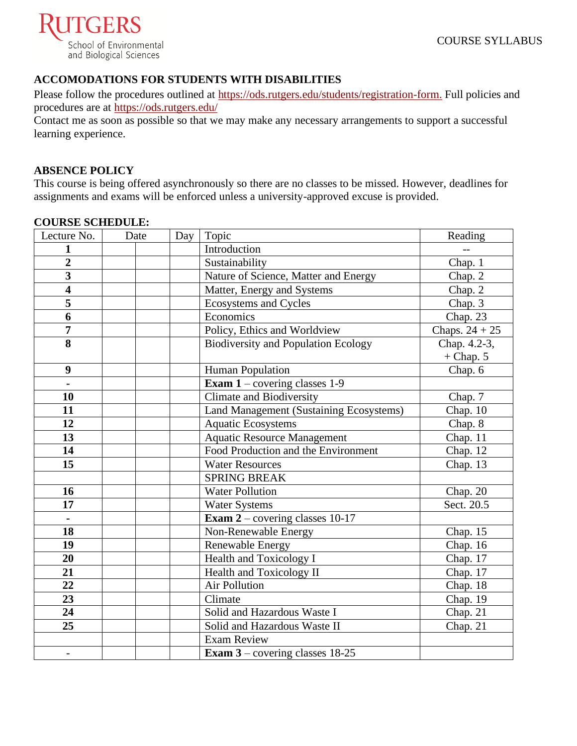

## **ACCOMODATIONS FOR STUDENTS WITH DISABILITIES**

Please follow the procedures outlined at [https://ods.rutgers.edu/students/registration-form.](https://ods.rutgers.edu/students/registration-form) Full policies and procedures are at<https://ods.rutgers.edu/>

Contact me as soon as possible so that we may make any necessary arrangements to support a successful learning experience.

### **ABSENCE POLICY**

This course is being offered asynchronously so there are no classes to be missed. However, deadlines for assignments and exams will be enforced unless a university-approved excuse is provided.

#### **COURSE SCHEDULE:**

| Lecture No.             | Date | Day | Topic                                      | Reading          |
|-------------------------|------|-----|--------------------------------------------|------------------|
|                         |      |     | Introduction                               |                  |
| $\overline{2}$          |      |     | Sustainability                             | Chap. 1          |
| $\overline{\mathbf{3}}$ |      |     | Nature of Science, Matter and Energy       | Chap. 2          |
| $\overline{\mathbf{4}}$ |      |     | Matter, Energy and Systems                 | Chap. 2          |
| 5                       |      |     | Ecosystems and Cycles                      | Chap. 3          |
| $\overline{6}$          |      |     | Economics                                  | Chap. 23         |
| $\overline{7}$          |      |     | Policy, Ethics and Worldview               | Chaps. $24 + 25$ |
| 8                       |      |     | <b>Biodiversity and Population Ecology</b> | Chap. 4.2-3,     |
|                         |      |     |                                            | $+$ Chap. 5      |
| 9                       |      |     | <b>Human Population</b>                    | Chap. 6          |
| $\blacksquare$          |      |     | <b>Exam 1</b> – covering classes 1-9       |                  |
| 10                      |      |     | <b>Climate and Biodiversity</b>            | Chap. 7          |
| 11                      |      |     | Land Management (Sustaining Ecosystems)    | Chap. 10         |
| 12                      |      |     | <b>Aquatic Ecosystems</b>                  | Chap. 8          |
| 13                      |      |     | <b>Aquatic Resource Management</b>         | Chap. 11         |
| 14                      |      |     | Food Production and the Environment        | Chap. 12         |
| 15                      |      |     | <b>Water Resources</b>                     | Chap. 13         |
|                         |      |     | <b>SPRING BREAK</b>                        |                  |
| 16                      |      |     | <b>Water Pollution</b>                     | Chap. $20$       |
| 17                      |      |     | <b>Water Systems</b>                       | Sect. 20.5       |
| $\blacksquare$          |      |     | <b>Exam 2</b> – covering classes 10-17     |                  |
| 18                      |      |     | Non-Renewable Energy                       | Chap. 15         |
| 19                      |      |     | Renewable Energy                           | Chap. 16         |
| 20                      |      |     | Health and Toxicology I                    | Chap. 17         |
| 21                      |      |     | Health and Toxicology II                   | Chap. 17         |
| 22                      |      |     | <b>Air Pollution</b>                       | Chap. 18         |
| 23                      |      |     | Climate                                    | Chap. 19         |
| 24                      |      |     | Solid and Hazardous Waste I                | Chap. 21         |
| $\overline{25}$         |      |     | Solid and Hazardous Waste II               | Chap. 21         |
|                         |      |     | <b>Exam Review</b>                         |                  |
| $\overline{a}$          |      |     | <b>Exam 3</b> – covering classes $18-25$   |                  |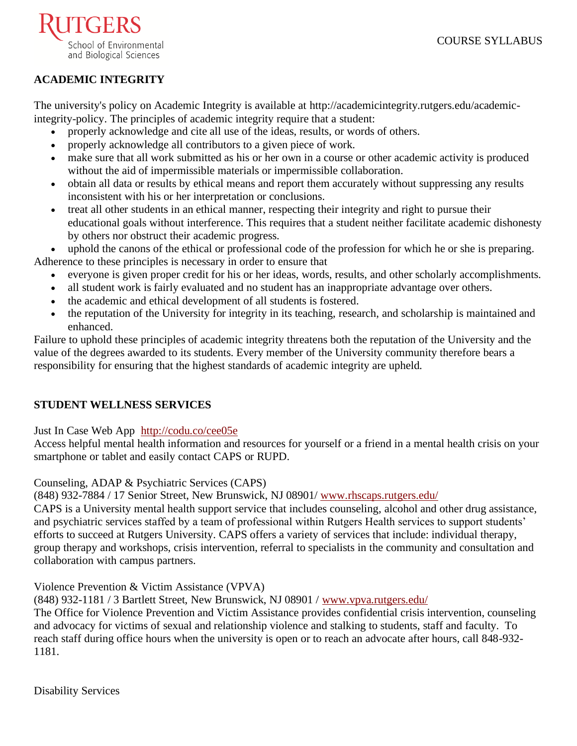

# **ACADEMIC INTEGRITY**

The university's policy on Academic Integrity is available at [http://academicintegrity.rutgers.edu/academic](http://academicintegrity.rutgers.edu/academic-integrity-policy)[integrity-policy.](http://academicintegrity.rutgers.edu/academic-integrity-policy) The principles of academic integrity require that a student:

- properly acknowledge and cite all use of the ideas, results, or words of others.
- properly acknowledge all contributors to a given piece of work.
- make sure that all work submitted as his or her own in a course or other academic activity is produced without the aid of impermissible materials or impermissible collaboration.
- obtain all data or results by ethical means and report them accurately without suppressing any results inconsistent with his or her interpretation or conclusions.
- treat all other students in an ethical manner, respecting their integrity and right to pursue their educational goals without interference. This requires that a student neither facilitate academic dishonesty by others nor obstruct their academic progress.

uphold the canons of the ethical or professional code of the profession for which he or she is preparing. Adherence to these principles is necessary in order to ensure that

- everyone is given proper credit for his or her ideas, words, results, and other scholarly accomplishments.
- all student work is fairly evaluated and no student has an inappropriate advantage over others.
- the academic and ethical development of all students is fostered.
- the reputation of the University for integrity in its teaching, research, and scholarship is maintained and enhanced.

Failure to uphold these principles of academic integrity threatens both the reputation of the University and the value of the degrees awarded to its students. Every member of the University community therefore bears a responsibility for ensuring that the highest standards of academic integrity are upheld.

## **STUDENT WELLNESS SERVICES**

[Just In Case Web App](http://m.appcreatorpro.com/m/rutgers/fda9f59ca5/fda9f59ca5.html) <http://codu.co/cee05e>

Access helpful mental health information and resources for yourself or a friend in a mental health crisis on your smartphone or tablet and easily contact CAPS or RUPD.

Counseling, ADAP & Psychiatric Services (CAPS)

(848) 932-7884 / 17 Senior Street, New Brunswick, NJ 08901/ [www.rhscaps.rutgers.edu/](http://www.rhscaps.rutgers.edu/)

CAPS is a University mental health support service that includes counseling, alcohol and other drug assistance, and psychiatric services staffed by a team of professional within Rutgers Health services to support students' efforts to succeed at Rutgers University. CAPS offers a variety of services that include: individual therapy, group therapy and workshops, crisis intervention, referral to specialists in the community and consultation and collaboration with campus partners.

## Violence Prevention & Victim Assistance (VPVA)

(848) 932-1181 / 3 Bartlett Street, New Brunswick, NJ 08901 / [www.vpva.rutgers.edu/](http://www.vpva.rutgers.edu/)

The Office for Violence Prevention and Victim Assistance provides confidential crisis intervention, counseling and advocacy for victims of sexual and relationship violence and stalking to students, staff and faculty. To reach staff during office hours when the university is open or to reach an advocate after hours, call 848-932- 1181.